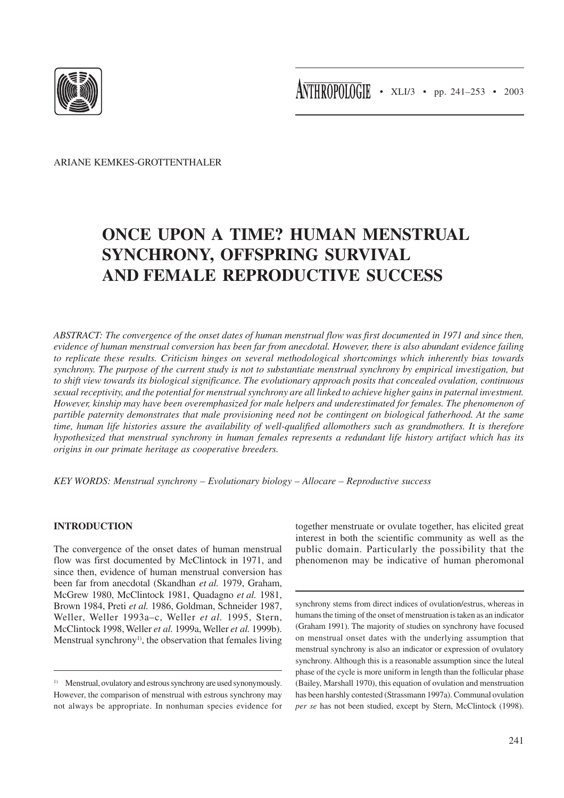

ARIANE KEMKES-GROTTENTHALER

# **ONCE UPON A TIME? HUMAN MENSTRUAL SYNCHRONY, OFFSPRING SURVIVAL AND FEMALE REPRODUCTIVE SUCCESS**

*ABSTRACT: The convergence of the onset dates of human menstrual flow was first documented in 1971 and since then, evidence of human menstrual conversion has been far from anecdotal. However, there is also abundant evidence failing to replicate these results. Criticism hinges on several methodological shortcomings which inherently bias towards synchrony. The purpose of the current study is not to substantiate menstrual synchrony by empirical investigation, but to shift view towards its biological significance. The evolutionary approach posits that concealed ovulation, continuous sexual receptivity, and the potential for menstrual synchrony are all linked to achieve higher gains in paternal investment. However, kinship may have been overemphasized for male helpers and underestimated for females. The phenomenon of partible paternity demonstrates that male provisioning need not be contingent on biological fatherhood. At the same time, human life histories assure the availability of well-qualified allomothers such as grandmothers. It is therefore hypothesized that menstrual synchrony in human females represents a redundant life history artifact which has its origins in our primate heritage as cooperative breeders.*

*KEY WORDS: Menstrual synchrony – Evolutionary biology – Allocare – Reproductive success*

## **INTRODUCTION**

The convergence of the onset dates of human menstrual flow was first documented by McClintock in 1971, and since then, evidence of human menstrual conversion has been far from anecdotal (Skandhan *et al.* 1979, Graham, McGrew 1980, McClintock 1981, Quadagno *et al.* 1981, Brown 1984, Preti *et al.* 1986, Goldman, Schneider 1987, Weller, Weller 1993a–c, Weller *et al.* 1995, Stern, McClintock 1998, Weller *et al.* 1999a, Weller *et al.* 1999b). Menstrual synchrony<sup>1</sup>, the observation that females living together menstruate or ovulate together, has elicited great interest in both the scientific community as well as the public domain. Particularly the possibility that the phenomenon may be indicative of human pheromonal

<sup>&</sup>lt;sup>1)</sup> Menstrual, ovulatory and estrous synchrony are used synonymously. However, the comparison of menstrual with estrous synchrony may not always be appropriate. In nonhuman species evidence for

synchrony stems from direct indices of ovulation/estrus, whereas in humans the timing of the onset of menstruation is taken as an indicator (Graham 1991). The majority of studies on synchrony have focused on menstrual onset dates with the underlying assumption that menstrual synchrony is also an indicator or expression of ovulatory synchrony. Although this is a reasonable assumption since the luteal phase of the cycle is more uniform in length than the follicular phase (Bailey, Marshall 1970), this equation of ovulation and menstruation has been harshly contested (Strassmann 1997a). Communal ovulation *per se* has not been studied, except by Stern, McClintock (1998).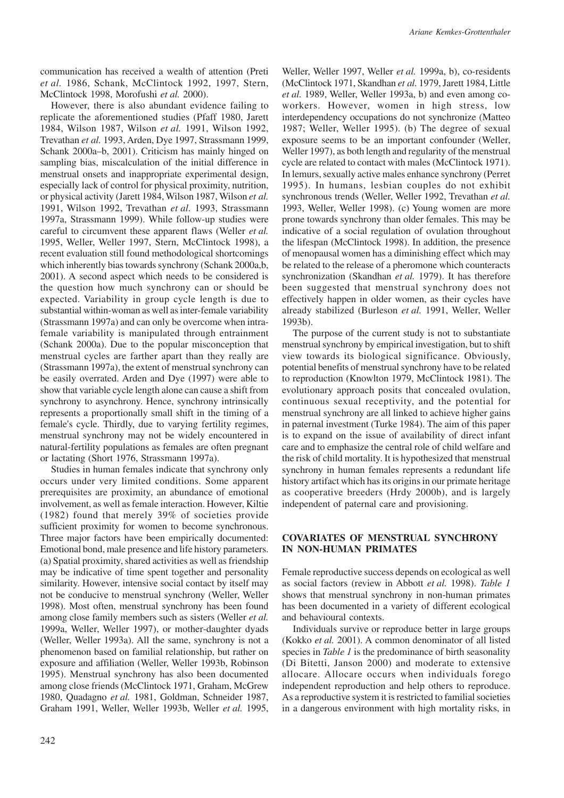communication has received a wealth of attention (Preti *et al.* 1986, Schank, McClintock 1992, 1997, Stern, McClintock 1998, Morofushi *et al.* 2000).

However, there is also abundant evidence failing to replicate the aforementioned studies (Pfaff 1980, Jarett 1984, Wilson 1987, Wilson *et al.* 1991, Wilson 1992, Trevathan *et al.* 1993, Arden, Dye 1997, Strassmann 1999, Schank 2000a–b, 2001). Criticism has mainly hinged on sampling bias, miscalculation of the initial difference in menstrual onsets and inappropriate experimental design, especially lack of control for physical proximity, nutrition, or physical activity (Jarett 1984, Wilson 1987, Wilson *et al.* 1991, Wilson 1992, Trevathan *et al.* 1993, Strassmann 1997a, Strassmann 1999). While follow-up studies were careful to circumvent these apparent flaws (Weller *et al.* 1995, Weller, Weller 1997, Stern, McClintock 1998), a recent evaluation still found methodological shortcomings which inherently bias towards synchrony (Schank 2000a,b, 2001). A second aspect which needs to be considered is the question how much synchrony can or should be expected. Variability in group cycle length is due to substantial within-woman as well as inter-female variability (Strassmann 1997a) and can only be overcome when intrafemale variability is manipulated through entrainment (Schank 2000a). Due to the popular misconception that menstrual cycles are farther apart than they really are (Strassmann 1997a), the extent of menstrual synchrony can be easily overrated. Arden and Dye (1997) were able to show that variable cycle length alone can cause a shift from synchrony to asynchrony. Hence, synchrony intrinsically represents a proportionally small shift in the timing of a female's cycle. Thirdly, due to varying fertility regimes, menstrual synchrony may not be widely encountered in natural-fertility populations as females are often pregnant or lactating (Short 1976, Strassmann 1997a).

Studies in human females indicate that synchrony only occurs under very limited conditions. Some apparent prerequisites are proximity, an abundance of emotional involvement, as well as female interaction. However, Kiltie (1982) found that merely 39% of societies provide sufficient proximity for women to become synchronous. Three major factors have been empirically documented: Emotional bond, male presence and life history parameters. (a) Spatial proximity, shared activities as well as friendship may be indicative of time spent together and personality similarity. However, intensive social contact by itself may not be conducive to menstrual synchrony (Weller, Weller 1998). Most often, menstrual synchrony has been found among close family members such as sisters (Weller *et al.* 1999a, Weller, Weller 1997), or mother-daughter dyads (Weller, Weller 1993a). All the same, synchrony is not a phenomenon based on familial relationship, but rather on exposure and affiliation (Weller, Weller 1993b, Robinson 1995). Menstrual synchrony has also been documented among close friends (McClintock 1971, Graham, McGrew 1980, Quadagno *et al.* 1981, Goldman, Schneider 1987, Graham 1991, Weller, Weller 1993b, Weller *et al.* 1995, Weller, Weller 1997, Weller *et al.* 1999a, b), co-residents (McClintock 1971, Skandhan *et al.* 1979, Jarett 1984, Little *et al.* 1989, Weller, Weller 1993a, b) and even among coworkers. However, women in high stress, low interdependency occupations do not synchronize (Matteo 1987; Weller, Weller 1995). (b) The degree of sexual exposure seems to be an important confounder (Weller, Weller 1997), as both length and regularity of the menstrual cycle are related to contact with males (McClintock 1971). In lemurs, sexually active males enhance synchrony (Perret 1995). In humans, lesbian couples do not exhibit synchronous trends (Weller, Weller 1992, Trevathan *et al.* 1993, Weller, Weller 1998). (c) Young women are more prone towards synchrony than older females. This may be indicative of a social regulation of ovulation throughout the lifespan (McClintock 1998). In addition, the presence of menopausal women has a diminishing effect which may be related to the release of a pheromone which counteracts synchronization (Skandhan *et al.* 1979). It has therefore been suggested that menstrual synchrony does not effectively happen in older women, as their cycles have already stabilized (Burleson *et al.* 1991, Weller, Weller 1993b).

The purpose of the current study is not to substantiate menstrual synchrony by empirical investigation, but to shift view towards its biological significance. Obviously, potential benefits of menstrual synchrony have to be related to reproduction (Knowlton 1979, McClintock 1981). The evolutionary approach posits that concealed ovulation, continuous sexual receptivity, and the potential for menstrual synchrony are all linked to achieve higher gains in paternal investment (Turke 1984). The aim of this paper is to expand on the issue of availability of direct infant care and to emphasize the central role of child welfare and the risk of child mortality. It is hypothesized that menstrual synchrony in human females represents a redundant life history artifact which has its origins in our primate heritage as cooperative breeders (Hrdy 2000b), and is largely independent of paternal care and provisioning.

# **COVARIATES OF MENSTRUAL SYNCHRONY IN NON-HUMAN PRIMATES**

Female reproductive success depends on ecological as well as social factors (review in Abbott *et al.* 1998). *Table 1* shows that menstrual synchrony in non-human primates has been documented in a variety of different ecological and behavioural contexts.

Individuals survive or reproduce better in large groups (Kokko *et al.* 2001). A common denominator of all listed species in *Table 1* is the predominance of birth seasonality (Di Bitetti, Janson 2000) and moderate to extensive allocare. Allocare occurs when individuals forego independent reproduction and help others to reproduce. As a reproductive system it is restricted to familial societies in a dangerous environment with high mortality risks, in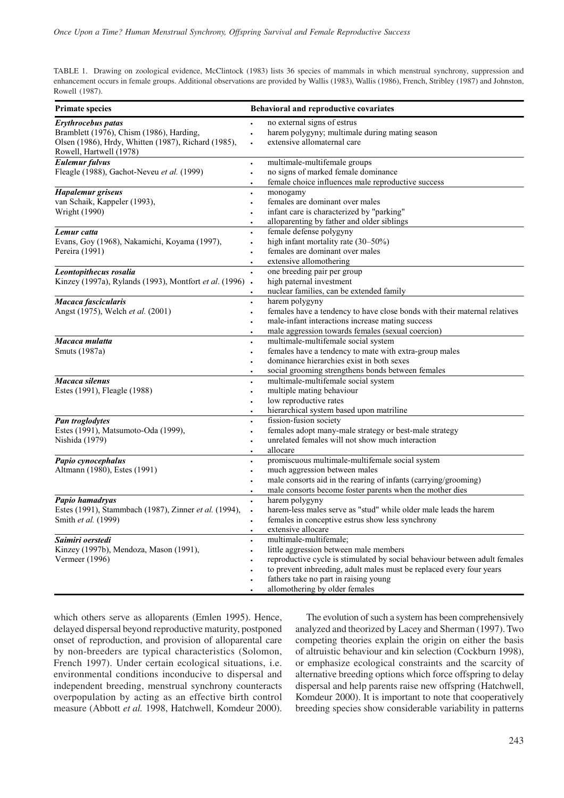TABLE 1. Drawing on zoological evidence, McClintock (1983) lists 36 species of mammals in which menstrual synchrony, suppression and enhancement occurs in female groups. Additional observations are provided by Wallis (1983), Wallis (1986), French, Stribley (1987) and Johnston, Rowell (1987).

| <b>Primate species</b>                                                                                                                                  | Behavioral and reproductive covariates                                                                                                                                                                                                                                                                         |
|---------------------------------------------------------------------------------------------------------------------------------------------------------|----------------------------------------------------------------------------------------------------------------------------------------------------------------------------------------------------------------------------------------------------------------------------------------------------------------|
| <b>Erythrocebus</b> patas<br>Bramblett (1976), Chism (1986), Harding,<br>Olsen (1986), Hrdy, Whitten (1987), Richard (1985),<br>Rowell, Hartwell (1978) | no external signs of estrus<br>harem polygyny; multimale during mating season<br>extensive allomaternal care<br>$\ddot{\phantom{0}}$                                                                                                                                                                           |
| <b>Eulemur</b> fulvus<br>Fleagle (1988), Gachot-Neveu et al. (1999)                                                                                     | multimale-multifemale groups<br>$\bullet$<br>no signs of marked female dominance<br>$\bullet$<br>female choice influences male reproductive success<br>$\bullet$                                                                                                                                               |
| <b>Hapalemur</b> griseus<br>van Schaik, Kappeler (1993),<br>Wright (1990)                                                                               | monogamy<br>$\bullet$<br>females are dominant over males<br>$\bullet$<br>infant care is characterized by "parking"<br>alloparenting by father and older siblings<br>$\bullet$                                                                                                                                  |
| Lemur catta<br>Evans, Goy (1968), Nakamichi, Koyama (1997),<br>Pereira (1991)                                                                           | female defense polygyny<br>$\bullet$<br>high infant mortality rate (30-50%)<br>$\bullet$<br>females are dominant over males<br>$\bullet$<br>extensive allomothering<br>$\bullet$                                                                                                                               |
| Leontopithecus rosalia<br>Kinzey (1997a), Rylands (1993), Montfort et al. (1996) .                                                                      | one breeding pair per group<br>high paternal investment<br>nuclear families, can be extended family                                                                                                                                                                                                            |
| Macaca fascicularis<br>Angst (1975), Welch et al. (2001)                                                                                                | harem polygyny<br>$\bullet$<br>females have a tendency to have close bonds with their maternal relatives<br>$\bullet$<br>male-infant interactions increase mating success<br>$\bullet$<br>male aggression towards females (sexual coercion)<br>$\bullet$                                                       |
| Macaca mulatta<br>Smuts (1987a)                                                                                                                         | multimale-multifemale social system<br>$\bullet$<br>females have a tendency to mate with extra-group males<br>dominance hierarchies exist in both sexes<br>$\bullet$<br>social grooming strengthens bonds between females<br>$\bullet$                                                                         |
| Macaca silenus<br>Estes (1991), Fleagle (1988)                                                                                                          | multimale-multifemale social system<br>$\bullet$<br>multiple mating behaviour<br>low reproductive rates<br>$\bullet$<br>hierarchical system based upon matriline<br>$\bullet$                                                                                                                                  |
| Pan troglodytes<br>Estes (1991), Matsumoto-Oda (1999),<br>Nishida (1979)                                                                                | fission-fusion society<br>$\bullet$<br>females adopt many-male strategy or best-male strategy<br>unrelated females will not show much interaction<br>$\bullet$<br>allocare<br>$\bullet$                                                                                                                        |
| Papio cynocephalus<br>Altmann (1980), Estes (1991)                                                                                                      | promiscuous multimale-multifemale social system<br>$\bullet$<br>much aggression between males<br>male consorts aid in the rearing of infants (carrying/grooming)<br>$\bullet$<br>male consorts become foster parents when the mother dies<br>$\bullet$                                                         |
| Papio hamadryas<br>Estes (1991), Stammbach (1987), Zinner et al. (1994),<br>Smith et al. (1999)                                                         | harem polygyny<br>$\bullet$<br>harem-less males serve as "stud" while older male leads the harem<br>females in conceptive estrus show less synchrony<br>$\bullet$<br>extensive allocare<br>$\bullet$                                                                                                           |
| Saimiri oerstedi<br>Kinzey (1997b), Mendoza, Mason (1991),<br>Vermeer (1996)                                                                            | multimale-multifemale;<br>$\bullet$<br>little aggression between male members<br>reproductive cycle is stimulated by social behaviour between adult females<br>to prevent inbreeding, adult males must be replaced every four years<br>fathers take no part in raising young<br>allomothering by older females |

which others serve as alloparents (Emlen 1995). Hence, delayed dispersal beyond reproductive maturity, postponed onset of reproduction, and provision of alloparental care by non-breeders are typical characteristics (Solomon, French 1997). Under certain ecological situations, i.e. environmental conditions inconducive to dispersal and independent breeding, menstrual synchrony counteracts overpopulation by acting as an effective birth control measure (Abbott *et al.* 1998, Hatchwell, Komdeur 2000).

The evolution of such a system has been comprehensively analyzed and theorized by Lacey and Sherman (1997). Two competing theories explain the origin on either the basis of altruistic behaviour and kin selection (Cockburn 1998), or emphasize ecological constraints and the scarcity of alternative breeding options which force offspring to delay dispersal and help parents raise new offspring (Hatchwell, Komdeur 2000). It is important to note that cooperatively breeding species show considerable variability in patterns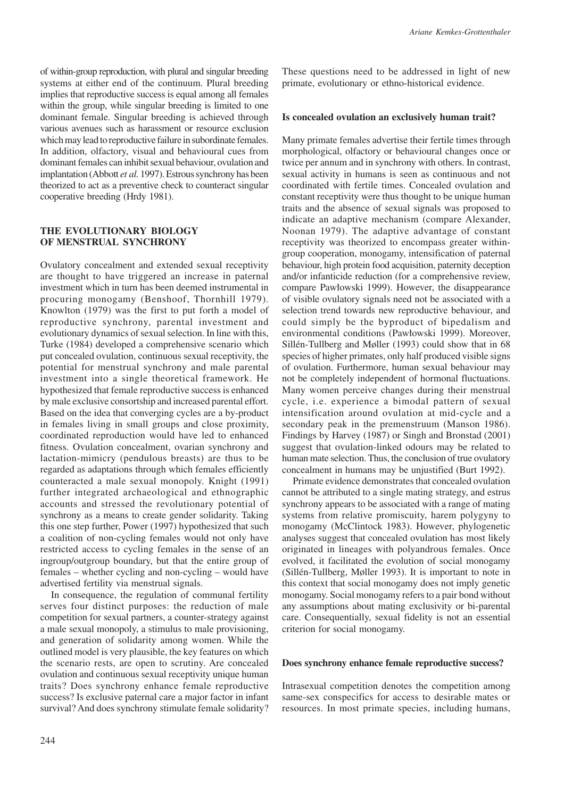of within-group reproduction, with plural and singular breeding systems at either end of the continuum. Plural breeding implies that reproductive success is equal among all females within the group, while singular breeding is limited to one dominant female. Singular breeding is achieved through various avenues such as harassment or resource exclusion which may lead to reproductive failure in subordinate females. In addition, olfactory, visual and behavioural cues from dominant females can inhibit sexual behaviour, ovulation and implantation (Abbott *et al.* 1997). Estrous synchrony has been theorized to act as a preventive check to counteract singular cooperative breeding (Hrdy 1981).

## **THE EVOLUTIONARY BIOLOGY OF MENSTRUAL SYNCHRONY**

Ovulatory concealment and extended sexual receptivity are thought to have triggered an increase in paternal investment which in turn has been deemed instrumental in procuring monogamy (Benshoof, Thornhill 1979). Knowlton (1979) was the first to put forth a model of reproductive synchrony, parental investment and evolutionary dynamics of sexual selection. In line with this, Turke (1984) developed a comprehensive scenario which put concealed ovulation, continuous sexual receptivity, the potential for menstrual synchrony and male parental investment into a single theoretical framework. He hypothesized that female reproductive success is enhanced by male exclusive consortship and increased parental effort. Based on the idea that converging cycles are a by-product in females living in small groups and close proximity, coordinated reproduction would have led to enhanced fitness. Ovulation concealment, ovarian synchrony and lactation-mimicry (pendulous breasts) are thus to be regarded as adaptations through which females efficiently counteracted a male sexual monopoly. Knight (1991) further integrated archaeological and ethnographic accounts and stressed the revolutionary potential of synchrony as a means to create gender solidarity. Taking this one step further, Power (1997) hypothesized that such a coalition of non-cycling females would not only have restricted access to cycling females in the sense of an ingroup/outgroup boundary, but that the entire group of females – whether cycling and non-cycling – would have advertised fertility via menstrual signals.

In consequence, the regulation of communal fertility serves four distinct purposes: the reduction of male competition for sexual partners, a counter-strategy against a male sexual monopoly, a stimulus to male provisioning, and generation of solidarity among women. While the outlined model is very plausible, the key features on which the scenario rests, are open to scrutiny. Are concealed ovulation and continuous sexual receptivity unique human traits? Does synchrony enhance female reproductive success? Is exclusive paternal care a major factor in infant survival? And does synchrony stimulate female solidarity? These questions need to be addressed in light of new primate, evolutionary or ethno-historical evidence.

#### **Is concealed ovulation an exclusively human trait?**

Many primate females advertise their fertile times through morphological, olfactory or behavioural changes once or twice per annum and in synchrony with others. In contrast, sexual activity in humans is seen as continuous and not coordinated with fertile times. Concealed ovulation and constant receptivity were thus thought to be unique human traits and the absence of sexual signals was proposed to indicate an adaptive mechanism (compare Alexander, Noonan 1979). The adaptive advantage of constant receptivity was theorized to encompass greater withingroup cooperation, monogamy, intensification of paternal behaviour, high protein food acquisition, paternity deception and/or infanticide reduction (for a comprehensive review, compare Pawłowski 1999). However, the disappearance of visible ovulatory signals need not be associated with a selection trend towards new reproductive behaviour, and could simply be the byproduct of bipedalism and environmental conditions (Pawłowski 1999). Moreover, Sillén-Tullberg and Møller (1993) could show that in 68 species of higher primates, only half produced visible signs of ovulation. Furthermore, human sexual behaviour may not be completely independent of hormonal fluctuations. Many women perceive changes during their menstrual cycle, i.e. experience a bimodal pattern of sexual intensification around ovulation at mid-cycle and a secondary peak in the premenstruum (Manson 1986). Findings by Harvey (1987) or Singh and Bronstad (2001) suggest that ovulation-linked odours may be related to human mate selection. Thus, the conclusion of true ovulatory concealment in humans may be unjustified (Burt 1992).

Primate evidence demonstrates that concealed ovulation cannot be attributed to a single mating strategy, and estrus synchrony appears to be associated with a range of mating systems from relative promiscuity, harem polygyny to monogamy (McClintock 1983). However, phylogenetic analyses suggest that concealed ovulation has most likely originated in lineages with polyandrous females. Once evolved, it facilitated the evolution of social monogamy (Sillén-Tullberg, Møller 1993). It is important to note in this context that social monogamy does not imply genetic monogamy. Social monogamy refers to a pair bond without any assumptions about mating exclusivity or bi-parental care. Consequentially, sexual fidelity is not an essential criterion for social monogamy.

#### **Does synchrony enhance female reproductive success?**

Intrasexual competition denotes the competition among same-sex conspecifics for access to desirable mates or resources. In most primate species, including humans,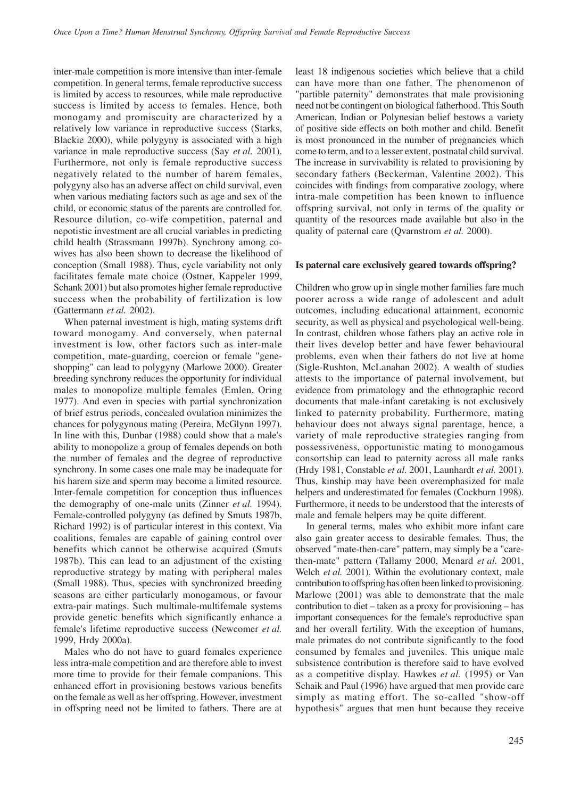inter-male competition is more intensive than inter-female competition. In general terms, female reproductive success is limited by access to resources, while male reproductive success is limited by access to females. Hence, both monogamy and promiscuity are characterized by a relatively low variance in reproductive success (Starks, Blackie 2000), while polygyny is associated with a high variance in male reproductive success (Say *et al.* 2001). Furthermore, not only is female reproductive success negatively related to the number of harem females, polygyny also has an adverse affect on child survival, even when various mediating factors such as age and sex of the child, or economic status of the parents are controlled for. Resource dilution, co-wife competition, paternal and nepotistic investment are all crucial variables in predicting child health (Strassmann 1997b). Synchrony among cowives has also been shown to decrease the likelihood of conception (Small 1988). Thus, cycle variability not only facilitates female mate choice (Ostner, Kappeler 1999, Schank 2001) but also promotes higher female reproductive success when the probability of fertilization is low (Gattermann *et al.* 2002).

When paternal investment is high, mating systems drift toward monogamy. And conversely, when paternal investment is low, other factors such as inter-male competition, mate-guarding, coercion or female "geneshopping" can lead to polygyny (Marlowe 2000). Greater breeding synchrony reduces the opportunity for individual males to monopolize multiple females (Emlen, Oring 1977). And even in species with partial synchronization of brief estrus periods, concealed ovulation minimizes the chances for polygynous mating (Pereira, McGlynn 1997). In line with this, Dunbar (1988) could show that a male's ability to monopolize a group of females depends on both the number of females and the degree of reproductive synchrony. In some cases one male may be inadequate for his harem size and sperm may become a limited resource. Inter-female competition for conception thus influences the demography of one-male units (Zinner *et al.* 1994). Female-controlled polygyny (as defined by Smuts 1987b, Richard 1992) is of particular interest in this context. Via coalitions, females are capable of gaining control over benefits which cannot be otherwise acquired (Smuts 1987b). This can lead to an adjustment of the existing reproductive strategy by mating with peripheral males (Small 1988). Thus, species with synchronized breeding seasons are either particularly monogamous, or favour extra-pair matings. Such multimale-multifemale systems provide genetic benefits which significantly enhance a female's lifetime reproductive success (Newcomer *et al.* 1999, Hrdy 2000a).

Males who do not have to guard females experience less intra-male competition and are therefore able to invest more time to provide for their female companions. This enhanced effort in provisioning bestows various benefits on the female as well as her offspring. However, investment in offspring need not be limited to fathers. There are at

least 18 indigenous societies which believe that a child can have more than one father. The phenomenon of "partible paternity" demonstrates that male provisioning need not be contingent on biological fatherhood. This South American, Indian or Polynesian belief bestows a variety of positive side effects on both mother and child. Benefit is most pronounced in the number of pregnancies which come to term, and to a lesser extent, postnatal child survival. The increase in survivability is related to provisioning by secondary fathers (Beckerman, Valentine 2002). This coincides with findings from comparative zoology, where intra-male competition has been known to influence offspring survival, not only in terms of the quality or quantity of the resources made available but also in the quality of paternal care (Qvarnstrom *et al.* 2000).

#### **Is paternal care exclusively geared towards offspring?**

Children who grow up in single mother families fare much poorer across a wide range of adolescent and adult outcomes, including educational attainment, economic security, as well as physical and psychological well-being. In contrast, children whose fathers play an active role in their lives develop better and have fewer behavioural problems, even when their fathers do not live at home (Sigle-Rushton, McLanahan 2002). A wealth of studies attests to the importance of paternal involvement, but evidence from primatology and the ethnographic record documents that male-infant caretaking is not exclusively linked to paternity probability. Furthermore, mating behaviour does not always signal parentage, hence, a variety of male reproductive strategies ranging from possessiveness, opportunistic mating to monogamous consortship can lead to paternity across all male ranks (Hrdy 1981, Constable *et al.* 2001, Launhardt *et al.* 2001). Thus, kinship may have been overemphasized for male helpers and underestimated for females (Cockburn 1998). Furthermore, it needs to be understood that the interests of male and female helpers may be quite different.

In general terms, males who exhibit more infant care also gain greater access to desirable females. Thus, the observed "mate-then-care" pattern, may simply be a "carethen-mate" pattern (Tallamy 2000, Menard *et al.* 2001, Welch *et al.* 2001). Within the evolutionary context, male contribution to offspring has often been linked to provisioning. Marlowe (2001) was able to demonstrate that the male contribution to diet – taken as a proxy for provisioning – has important consequences for the female's reproductive span and her overall fertility. With the exception of humans, male primates do not contribute significantly to the food consumed by females and juveniles. This unique male subsistence contribution is therefore said to have evolved as a competitive display. Hawkes *et al.* (1995) or Van Schaik and Paul (1996) have argued that men provide care simply as mating effort. The so-called "show-off hypothesis" argues that men hunt because they receive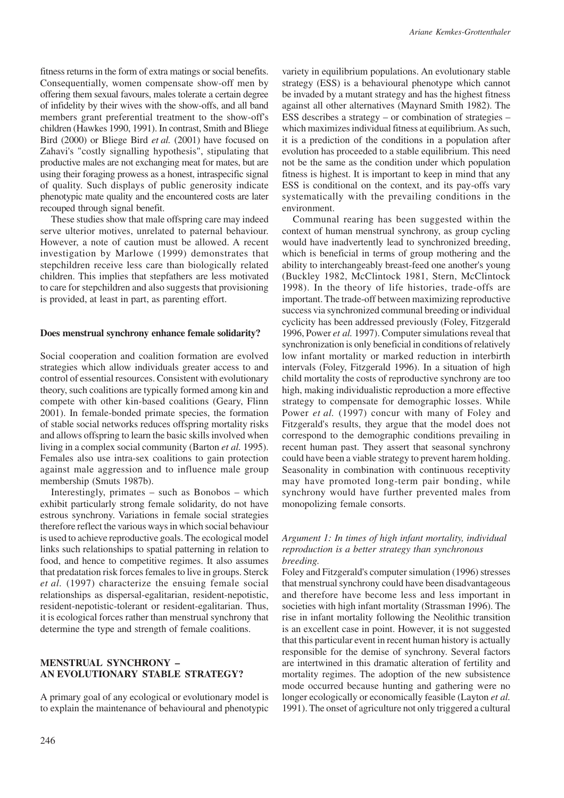fitness returns in the form of extra matings or social benefits. Consequentially, women compensate show-off men by offering them sexual favours, males tolerate a certain degree of infidelity by their wives with the show-offs, and all band members grant preferential treatment to the show-off's children (Hawkes 1990, 1991). In contrast, Smith and Bliege Bird (2000) or Bliege Bird *et al.* (2001) have focused on Zahavi's "costly signalling hypothesis", stipulating that productive males are not exchanging meat for mates, but are using their foraging prowess as a honest, intraspecific signal of quality. Such displays of public generosity indicate phenotypic mate quality and the encountered costs are later recouped through signal benefit.

These studies show that male offspring care may indeed serve ulterior motives, unrelated to paternal behaviour. However, a note of caution must be allowed. A recent investigation by Marlowe (1999) demonstrates that stepchildren receive less care than biologically related children. This implies that stepfathers are less motivated to care for stepchildren and also suggests that provisioning is provided, at least in part, as parenting effort.

#### **Does menstrual synchrony enhance female solidarity?**

Social cooperation and coalition formation are evolved strategies which allow individuals greater access to and control of essential resources. Consistent with evolutionary theory, such coalitions are typically formed among kin and compete with other kin-based coalitions (Geary, Flinn 2001). In female-bonded primate species, the formation of stable social networks reduces offspring mortality risks and allows offspring to learn the basic skills involved when living in a complex social community (Barton *et al.* 1995). Females also use intra-sex coalitions to gain protection against male aggression and to influence male group membership (Smuts 1987b).

Interestingly, primates – such as Bonobos – which exhibit particularly strong female solidarity, do not have estrous synchrony. Variations in female social strategies therefore reflect the various ways in which social behaviour is used to achieve reproductive goals. The ecological model links such relationships to spatial patterning in relation to food, and hence to competitive regimes. It also assumes that predatation risk forces females to live in groups. Sterck *et al.* (1997) characterize the ensuing female social relationships as dispersal-egalitarian, resident-nepotistic, resident-nepotistic-tolerant or resident-egalitarian. Thus, it is ecological forces rather than menstrual synchrony that determine the type and strength of female coalitions.

# **MENSTRUAL SYNCHRONY – AN EVOLUTIONARY STABLE STRATEGY?**

A primary goal of any ecological or evolutionary model is to explain the maintenance of behavioural and phenotypic variety in equilibrium populations. An evolutionary stable strategy (ESS) is a behavioural phenotype which cannot be invaded by a mutant strategy and has the highest fitness against all other alternatives (Maynard Smith 1982). The ESS describes a strategy – or combination of strategies – which maximizes individual fitness at equilibrium. As such, it is a prediction of the conditions in a population after evolution has proceeded to a stable equilibrium. This need not be the same as the condition under which population fitness is highest. It is important to keep in mind that any ESS is conditional on the context, and its pay-offs vary systematically with the prevailing conditions in the environment.

Communal rearing has been suggested within the context of human menstrual synchrony, as group cycling would have inadvertently lead to synchronized breeding, which is beneficial in terms of group mothering and the ability to interchangeably breast-feed one another's young (Buckley 1982, McClintock 1981, Stern, McClintock 1998). In the theory of life histories, trade-offs are important. The trade-off between maximizing reproductive success via synchronized communal breeding or individual cyclicity has been addressed previously (Foley, Fitzgerald 1996, Power *et al.* 1997). Computer simulations reveal that synchronization is only beneficial in conditions of relatively low infant mortality or marked reduction in interbirth intervals (Foley, Fitzgerald 1996). In a situation of high child mortality the costs of reproductive synchrony are too high, making individualistic reproduction a more effective strategy to compensate for demographic losses. While Power *et al.* (1997) concur with many of Foley and Fitzgerald's results, they argue that the model does not correspond to the demographic conditions prevailing in recent human past. They assert that seasonal synchrony could have been a viable strategy to prevent harem holding. Seasonality in combination with continuous receptivity may have promoted long-term pair bonding, while synchrony would have further prevented males from monopolizing female consorts.

## *Argument 1: In times of high infant mortality, individual reproduction is a better strategy than synchronous breeding.*

Foley and Fitzgerald's computer simulation (1996) stresses that menstrual synchrony could have been disadvantageous and therefore have become less and less important in societies with high infant mortality (Strassman 1996). The rise in infant mortality following the Neolithic transition is an excellent case in point. However, it is not suggested that this particular event in recent human history is actually responsible for the demise of synchrony. Several factors are intertwined in this dramatic alteration of fertility and mortality regimes. The adoption of the new subsistence mode occurred because hunting and gathering were no longer ecologically or economically feasible (Layton *et al.* 1991). The onset of agriculture not only triggered a cultural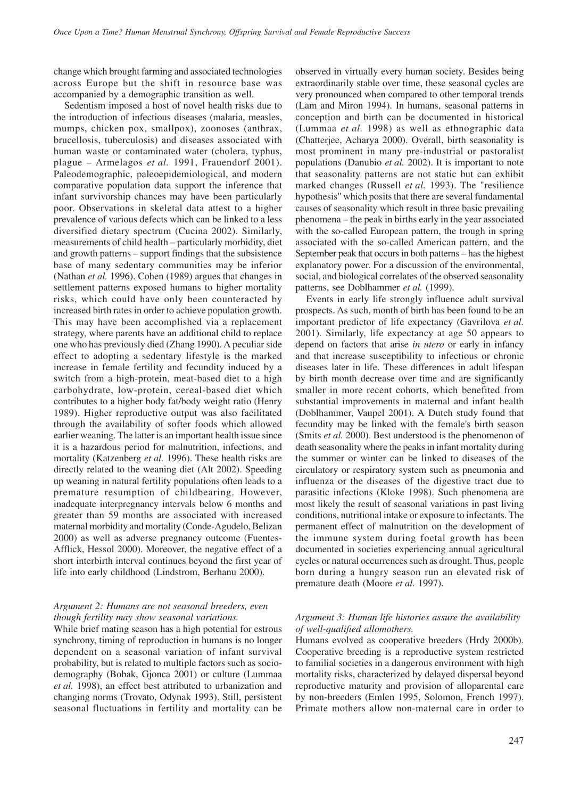change which brought farming and associated technologies across Europe but the shift in resource base was accompanied by a demographic transition as well.

Sedentism imposed a host of novel health risks due to the introduction of infectious diseases (malaria, measles, mumps, chicken pox, smallpox), zoonoses (anthrax, brucellosis, tuberculosis) and diseases associated with human waste or contaminated water (cholera, typhus, plague – Armelagos *et al.* 1991, Frauendorf 2001). Paleodemographic, paleoepidemiological, and modern comparative population data support the inference that infant survivorship chances may have been particularly poor. Observations in skeletal data attest to a higher prevalence of various defects which can be linked to a less diversified dietary spectrum (Cucina 2002). Similarly, measurements of child health – particularly morbidity, diet and growth patterns – support findings that the subsistence base of many sedentary communities may be inferior (Nathan *et al.* 1996). Cohen (1989) argues that changes in settlement patterns exposed humans to higher mortality risks, which could have only been counteracted by increased birth rates in order to achieve population growth. This may have been accomplished via a replacement strategy, where parents have an additional child to replace one who has previously died (Zhang 1990). A peculiar side effect to adopting a sedentary lifestyle is the marked increase in female fertility and fecundity induced by a switch from a high-protein, meat-based diet to a high carbohydrate, low-protein, cereal-based diet which contributes to a higher body fat/body weight ratio (Henry 1989). Higher reproductive output was also facilitated through the availability of softer foods which allowed earlier weaning. The latter is an important health issue since it is a hazardous period for malnutrition, infections, and mortality (Katzenberg *et al.* 1996). These health risks are directly related to the weaning diet (Alt 2002). Speeding up weaning in natural fertility populations often leads to a premature resumption of childbearing. However, inadequate interpregnancy intervals below 6 months and greater than 59 months are associated with increased maternal morbidity and mortality (Conde-Agudelo, Belizan 2000) as well as adverse pregnancy outcome (Fuentes-Afflick, Hessol 2000). Moreover, the negative effect of a short interbirth interval continues beyond the first year of life into early childhood (Lindstrom, Berhanu 2000).

## *Argument 2: Humans are not seasonal breeders, even though fertility may show seasonal variations.*

While brief mating season has a high potential for estrous synchrony, timing of reproduction in humans is no longer dependent on a seasonal variation of infant survival probability, but is related to multiple factors such as sociodemography (Bobak, Gjonca 2001) or culture (Lummaa *et al.* 1998), an effect best attributed to urbanization and changing norms (Trovato, Odynak 1993). Still, persistent seasonal fluctuations in fertility and mortality can be

observed in virtually every human society. Besides being extraordinarily stable over time, these seasonal cycles are very pronounced when compared to other temporal trends (Lam and Miron 1994). In humans, seasonal patterns in conception and birth can be documented in historical (Lummaa *et al.* 1998) as well as ethnographic data (Chatterjee, Acharya 2000). Overall, birth seasonality is most prominent in many pre-industrial or pastoralist populations (Danubio *et al.* 2002). It is important to note that seasonality patterns are not static but can exhibit marked changes (Russell *et al.* 1993). The "resilience hypothesis" which posits that there are several fundamental causes of seasonality which result in three basic prevailing phenomena – the peak in births early in the year associated with the so-called European pattern, the trough in spring associated with the so-called American pattern, and the September peak that occurs in both patterns – has the highest explanatory power. For a discussion of the environmental, social, and biological correlates of the observed seasonality patterns, see Doblhammer *et al.* (1999).

Events in early life strongly influence adult survival prospects. As such, month of birth has been found to be an important predictor of life expectancy (Gavrilova *et al.* 2001). Similarly, life expectancy at age 50 appears to depend on factors that arise *in utero* or early in infancy and that increase susceptibility to infectious or chronic diseases later in life. These differences in adult lifespan by birth month decrease over time and are significantly smaller in more recent cohorts, which benefited from substantial improvements in maternal and infant health (Doblhammer, Vaupel 2001). A Dutch study found that fecundity may be linked with the female's birth season (Smits *et al.* 2000). Best understood is the phenomenon of death seasonality where the peaks in infant mortality during the summer or winter can be linked to diseases of the circulatory or respiratory system such as pneumonia and influenza or the diseases of the digestive tract due to parasitic infections (Kloke 1998). Such phenomena are most likely the result of seasonal variations in past living conditions, nutritional intake or exposure to infectants. The permanent effect of malnutrition on the development of the immune system during foetal growth has been documented in societies experiencing annual agricultural cycles or natural occurrences such as drought. Thus, people born during a hungry season run an elevated risk of premature death (Moore *et al.* 1997).

## *Argument 3: Human life histories assure the availability of well-qualified allomothers.*

Humans evolved as cooperative breeders (Hrdy 2000b). Cooperative breeding is a reproductive system restricted to familial societies in a dangerous environment with high mortality risks, characterized by delayed dispersal beyond reproductive maturity and provision of alloparental care by non-breeders (Emlen 1995, Solomon, French 1997). Primate mothers allow non-maternal care in order to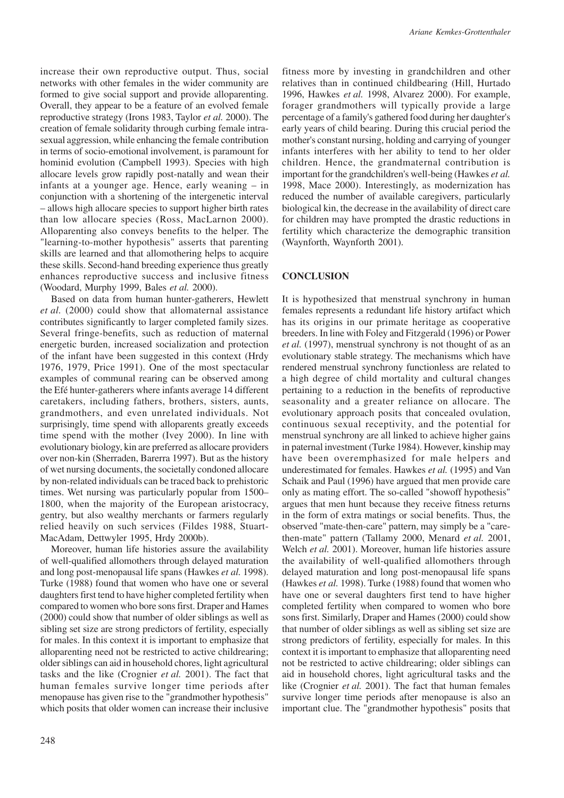increase their own reproductive output. Thus, social networks with other females in the wider community are formed to give social support and provide alloparenting. Overall, they appear to be a feature of an evolved female reproductive strategy (Irons 1983, Taylor *et al.* 2000). The creation of female solidarity through curbing female intrasexual aggression, while enhancing the female contribution in terms of socio-emotional involvement, is paramount for hominid evolution (Campbell 1993). Species with high allocare levels grow rapidly post-natally and wean their infants at a younger age. Hence, early weaning – in conjunction with a shortening of the intergenetic interval – allows high allocare species to support higher birth rates than low allocare species (Ross, MacLarnon 2000). Alloparenting also conveys benefits to the helper. The "learning-to-mother hypothesis" asserts that parenting skills are learned and that allomothering helps to acquire these skills. Second-hand breeding experience thus greatly enhances reproductive success and inclusive fitness (Woodard, Murphy 1999, Bales *et al.* 2000).

Based on data from human hunter-gatherers, Hewlett *et al.* (2000) could show that allomaternal assistance contributes significantly to larger completed family sizes. Several fringe-benefits, such as reduction of maternal energetic burden, increased socialization and protection of the infant have been suggested in this context (Hrdy 1976, 1979, Price 1991). One of the most spectacular examples of communal rearing can be observed among the Efé hunter-gatherers where infants average 14 different caretakers, including fathers, brothers, sisters, aunts, grandmothers, and even unrelated individuals. Not surprisingly, time spend with alloparents greatly exceeds time spend with the mother (Ivey 2000). In line with evolutionary biology, kin are preferred as allocare providers over non-kin (Sherraden, Barerra 1997). But as the history of wet nursing documents, the societally condoned allocare by non-related individuals can be traced back to prehistoric times. Wet nursing was particularly popular from 1500– 1800, when the majority of the European aristocracy, gentry, but also wealthy merchants or farmers regularly relied heavily on such services (Fildes 1988, Stuart-MacAdam, Dettwyler 1995, Hrdy 2000b).

Moreover, human life histories assure the availability of well-qualified allomothers through delayed maturation and long post-menopausal life spans (Hawkes *et al.* 1998). Turke (1988) found that women who have one or several daughters first tend to have higher completed fertility when compared to women who bore sons first. Draper and Hames (2000) could show that number of older siblings as well as sibling set size are strong predictors of fertility, especially for males. In this context it is important to emphasize that alloparenting need not be restricted to active childrearing; older siblings can aid in household chores, light agricultural tasks and the like (Crognier *et al.* 2001). The fact that human females survive longer time periods after menopause has given rise to the "grandmother hypothesis" which posits that older women can increase their inclusive fitness more by investing in grandchildren and other relatives than in continued childbearing (Hill, Hurtado 1996, Hawkes *et al.* 1998, Alvarez 2000). For example, forager grandmothers will typically provide a large percentage of a family's gathered food during her daughter's early years of child bearing. During this crucial period the mother's constant nursing, holding and carrying of younger infants interferes with her ability to tend to her older children. Hence, the grandmaternal contribution is important for the grandchildren's well-being (Hawkes *et al.* 1998, Mace 2000). Interestingly, as modernization has reduced the number of available caregivers, particularly biological kin, the decrease in the availability of direct care for children may have prompted the drastic reductions in fertility which characterize the demographic transition (Waynforth, Waynforth 2001).

# **CONCLUSION**

It is hypothesized that menstrual synchrony in human females represents a redundant life history artifact which has its origins in our primate heritage as cooperative breeders. In line with Foley and Fitzgerald (1996) or Power *et al.* (1997), menstrual synchrony is not thought of as an evolutionary stable strategy. The mechanisms which have rendered menstrual synchrony functionless are related to a high degree of child mortality and cultural changes pertaining to a reduction in the benefits of reproductive seasonality and a greater reliance on allocare. The evolutionary approach posits that concealed ovulation, continuous sexual receptivity, and the potential for menstrual synchrony are all linked to achieve higher gains in paternal investment (Turke 1984). However, kinship may have been overemphasized for male helpers and underestimated for females. Hawkes *et al.* (1995) and Van Schaik and Paul (1996) have argued that men provide care only as mating effort. The so-called "showoff hypothesis" argues that men hunt because they receive fitness returns in the form of extra matings or social benefits. Thus, the observed "mate-then-care" pattern, may simply be a "carethen-mate" pattern (Tallamy 2000, Menard *et al.* 2001, Welch *et al.* 2001). Moreover, human life histories assure the availability of well-qualified allomothers through delayed maturation and long post-menopausal life spans (Hawkes *et al.* 1998). Turke (1988) found that women who have one or several daughters first tend to have higher completed fertility when compared to women who bore sons first. Similarly, Draper and Hames (2000) could show that number of older siblings as well as sibling set size are strong predictors of fertility, especially for males. In this context it is important to emphasize that alloparenting need not be restricted to active childrearing; older siblings can aid in household chores, light agricultural tasks and the like (Crognier *et al.* 2001). The fact that human females survive longer time periods after menopause is also an important clue. The "grandmother hypothesis" posits that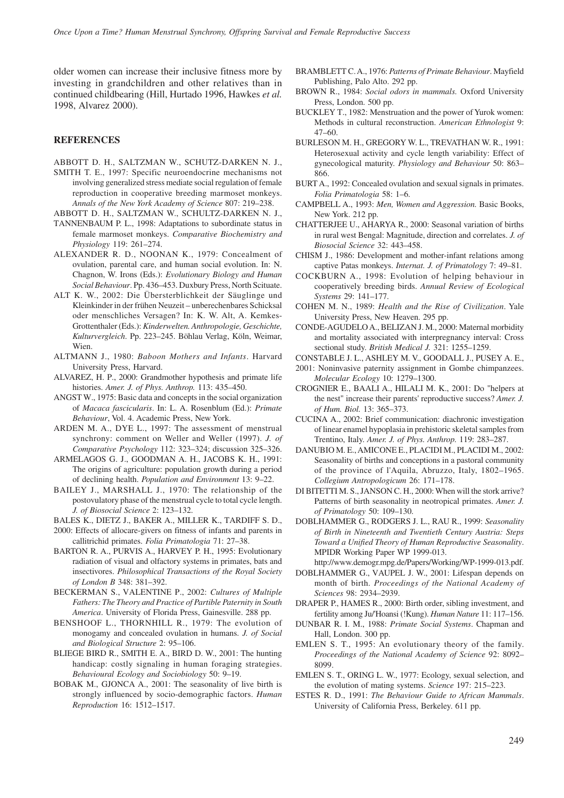older women can increase their inclusive fitness more by investing in grandchildren and other relatives than in continued childbearing (Hill, Hurtado 1996, Hawkes *et al.* 1998, Alvarez 2000).

#### **REFERENCES**

- ABBOTT D. H., SALTZMAN W., SCHUTZ-DARKEN N. J.,
- SMITH T. E., 1997: Specific neuroendocrine mechanisms not involving generalized stress mediate social regulation of female reproduction in cooperative breeding marmoset monkeys. *Annals of the New York Academy of Science* 807: 219–238.
- ABBOTT D. H., SALTZMAN W., SCHULTZ-DARKEN N. J.,
- TANNENBAUM P. L., 1998: Adaptations to subordinate status in female marmoset monkeys. *Comparative Biochemistry and Physiology* 119: 261–274.
- ALEXANDER R. D., NOONAN K., 1979: Concealment of ovulation, parental care, and human social evolution. In: N. Chagnon, W. Irons (Eds.): *Evolutionary Biology and Human Social Behaviour*. Pp. 436–453. Duxbury Press, North Scituate.
- ALT K. W., 2002: Die Übersterblichkeit der Säuglinge und Kleinkinder in der frühen Neuzeit – unberechenbares Schicksal oder menschliches Versagen? In: K. W. Alt, A. Kemkes-Grottenthaler (Eds.): *Kinderwelten. Anthropologie, Geschichte, Kulturvergleich*. Pp. 223–245. Böhlau Verlag, Köln, Weimar, Wien.
- ALTMANN J., 1980: *Baboon Mothers and Infants*. Harvard University Press, Harvard.
- ALVAREZ, H. P., 2000: Grandmother hypothesis and primate life histories. *Amer. J. of Phys. Anthrop.* 113: 435–450.
- ANGST W., 1975: Basic data and concepts in the social organization of *Macaca fascicularis*. In: L. A. Rosenblum (Ed.): *Primate Behaviour*, Vol. 4. Academic Press, New York.
- ARDEN M. A., DYE L., 1997: The assessment of menstrual synchrony: comment on Weller and Weller (1997). *J. of Comparative Psychology* 112: 323–324; discussion 325–326.
- ARMELAGOS G. J., GOODMAN A. H., JACOBS K. H., 1991: The origins of agriculture: population growth during a period of declining health. *Population and Environment* 13: 9–22.
- BAILEY J., MARSHALL J., 1970: The relationship of the postovulatory phase of the menstrual cycle to total cycle length. *J. of Biosocial Science* 2: 123–132.
- BALES K., DIETZ J., BAKER A., MILLER K., TARDIFF S. D.,
- 2000: Effects of allocare-givers on fitness of infants and parents in callitrichid primates. *Folia Primatologia* 71: 27–38.
- BARTON R. A., PURVIS A., HARVEY P. H., 1995: Evolutionary radiation of visual and olfactory systems in primates, bats and insectivores. *Philosophical Transactions of the Royal Society of London B* 348: 381–392.
- BECKERMAN S., VALENTINE P., 2002: *Cultures of Multiple Fathers: The Theory and Practice of Partible Paternity in South America*. University of Florida Press, Gainesville. 288 pp.
- BENSHOOF L., THORNHILL R., 1979: The evolution of monogamy and concealed ovulation in humans. *J. of Social and Biological Structure* 2: 95–106.
- BLIEGE BIRD R., SMITH E. A., BIRD D. W., 2001: The hunting handicap: costly signaling in human foraging strategies. *Behavioural Ecology and Sociobiology* 50: 9–19.
- BOBAK M., GJONCA A., 2001: The seasonality of live birth is strongly influenced by socio-demographic factors. *Human Reproduction* 16: 1512–1517.
- BRAMBLETT C. A., 1976: *Patterns of Primate Behaviour*. Mayfield Publishing, Palo Alto. 292 pp.
- BROWN R., 1984: *Social odors in mammals.* Oxford University Press, London. 500 pp.
- BUCKLEY T., 1982: Menstruation and the power of Yurok women: Methods in cultural reconstruction. *American Ethnologist* 9: 47–60.
- BURLESON M. H., GREGORY W. L., TREVATHAN W. R., 1991: Heterosexual activity and cycle length variability: Effect of gynecological maturity. *Physiology and Behaviour* 50: 863– 866.
- BURT A., 1992: Concealed ovulation and sexual signals in primates. *Folia Primatologia* 58: 1–6.
- CAMPBELL A., 1993: *Men, Women and Aggression.* Basic Books, New York. 212 pp.
- CHATTERJEE U., AHARYA R., 2000: Seasonal variation of births in rural west Bengal: Magnitude, direction and correlates. *J. of Biosocial Science* 32: 443–458.
- CHISM J., 1986: Development and mother-infant relations among captive Patas monkeys. *Internat. J. of Primatology* 7: 49–81.
- COCKBURN A., 1998: Evolution of helping behaviour in cooperatively breeding birds. *Annual Review of Ecological Systems* 29: 141–177.
- COHEN M. N., 1989: *Health and the Rise of Civilization*. Yale University Press, New Heaven. 295 pp.
- CONDE-AGUDELO A., BELIZAN J. M., 2000: Maternal morbidity and mortality associated with interpregnancy interval: Cross sectional study. *British Medical J.* 321: 1255–1259.
- CONSTABLE J. L., ASHLEY M. V., GOODALL J., PUSEY A. E.,
- 2001: Noninvasive paternity assignment in Gombe chimpanzees. *Molecular Ecology* 10: 1279–1300.
- CROGNIER E., BAALI A., HILALI M. K., 2001: Do "helpers at the nest" increase their parents' reproductive success? *Amer. J. of Hum. Biol.* 13: 365–373.
- CUCINA A., 2002: Brief communication: diachronic investigation of linear enamel hypoplasia in prehistoric skeletal samples from Trentino, Italy. *Amer. J. of Phys. Anthrop.* 119: 283–287.
- DANUBIO M. E., AMICONE E., PLACIDI M., PLACIDI M., 2002: Seasonality of births and conceptions in a pastoral community of the province of l'Aquila, Abruzzo, Italy, 1802–1965. *Collegium Antropologicum* 26: 171–178.
- DI BITETTI M. S., JANSON C. H., 2000: When will the stork arrive? Patterns of birth seasonality in neotropical primates. *Amer. J. of Primatology* 50: 109–130.
- DOBLHAMMER G., RODGERS J. L., RAU R., 1999: *Seasonality of Birth in Nineteenth and Twentieth Century Austria: Steps Toward a Unified Theory of Human Reproductive Seasonality*. MPIDR Working Paper WP 1999-013.
- http://www.demogr.mpg.de/Papers/Working/WP-1999-013.pdf. DOBLHAMMER G., VAUPEL J. W., 2001: Lifespan depends on month of birth. *Proceedings of the National Academy of Sciences* 98: 2934–2939.
- DRAPER P., HAMES R., 2000: Birth order, sibling investment, and fertility among Ju/'Hoansi (!Kung). *Human Nature* 11: 117–156.
- DUNBAR R. I. M., 1988: *Primate Social Systems*. Chapman and Hall, London. 300 pp.
- EMLEN S. T., 1995: An evolutionary theory of the family. *Proceedings of the National Academy of Science* 92: 8092– 8099.
- EMLEN S. T., ORING L. W., 1977: Ecology, sexual selection, and the evolution of mating systems. *Science* 197: 215–223.
- ESTES R. D., 1991: *The Behaviour Guide to African Mammals*. University of California Press, Berkeley. 611 pp.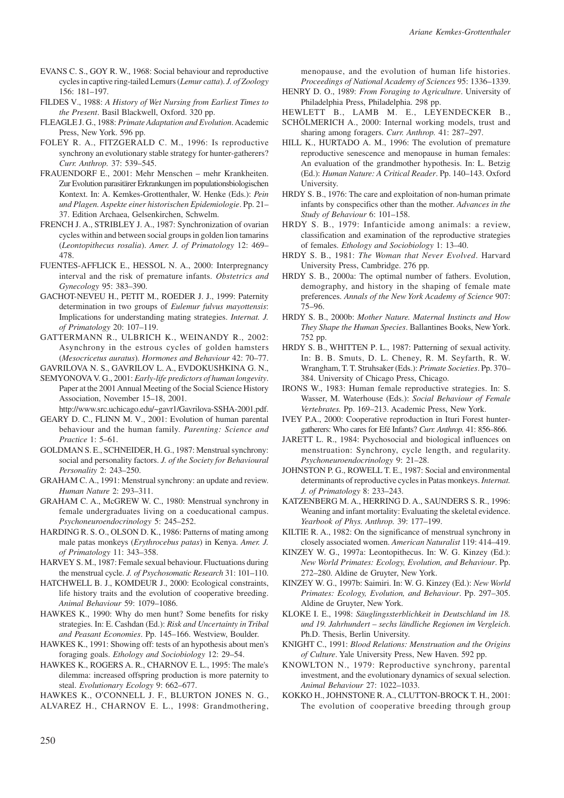- EVANS C. S., GOY R. W., 1968: Social behaviour and reproductive cycles in captive ring-tailed Lemurs (*Lemur catta*). *J. of Zoology* 156: 181–197.
- FILDES V., 1988: *A History of Wet Nursing from Earliest Times to the Present*. Basil Blackwell, Oxford. 320 pp.
- FLEAGLE J. G., 1988: *Primate Adaptation and Evolution*. Academic Press, New York. 596 pp.
- FOLEY R. A., FITZGERALD C. M., 1996: Is reproductive synchrony an evolutionary stable strategy for hunter-gatherers? *Curr. Anthrop.* 37: 539–545.
- FRAUENDORF E., 2001: Mehr Menschen mehr Krankheiten. Zur Evolution parasitärer Erkrankungen im populationsbiologischen Kontext. In: A. Kemkes-Grottenthaler, W. Henke (Eds.): *Pein und Plagen. Aspekte einer historischen Epidemiologie*. Pp. 21– 37. Edition Archaea, Gelsenkirchen, Schwelm.
- FRENCH J. A., STRIBLEY J. A., 1987: Synchronization of ovarian cycles within and between social groups in golden lion tamarins (*Leontopithecus rosalia*). *Amer. J. of Primatology* 12: 469– 478.
- FUENTES-AFFLICK E., HESSOL N. A., 2000: Interpregnancy interval and the risk of premature infants. *Obstetrics and Gynecology* 95: 383–390.
- GACHOT-NEVEU H., PETIT M., ROEDER J. J., 1999: Paternity determination in two groups of *Eulemur fulvus mayottensis*: Implications for understanding mating strategies. *Internat. J. of Primatology* 20: 107–119.
- GATTERMANN R., ULBRICH K., WEINANDY R., 2002: Asynchrony in the estrous cycles of golden hamsters (*Mesocricetus auratus*). *Hormones and Behaviour* 42: 70–77.

GAVRILOVA N. S., GAVRILOV L. A., EVDOKUSHKINA G. N.,

SEMYONOVA V. G., 2001: *Early-life predictors of human longevity*. Paper at the 2001 Annual Meeting of the Social Science History Association, November 15–18, 2001.

http://www.src.uchicago.edu/~gavr1/Gavrilova-SSHA-2001.pdf.

- GEARY D. C., FLINN M. V., 2001: Evolution of human parental behaviour and the human family. *Parenting: Science and Practice* 1: 5–61.
- GOLDMAN S. E., SCHNEIDER, H. G., 1987: Menstrual synchrony: social and personality factors. *J. of the Society for Behavioural Personality* 2: 243–250.
- GRAHAM C. A., 1991: Menstrual synchrony: an update and review. *Human Nature* 2: 293–311.
- GRAHAM C. A., McGREW W. C., 1980: Menstrual synchrony in female undergraduates living on a coeducational campus. *Psychoneuroendocrinology* 5: 245–252.
- HARDING R. S. O., OLSON D. K., 1986: Patterns of mating among male patas monkeys (*Erythrocebus patas*) in Kenya. *Amer. J. of Primatology* 11: 343–358.
- HARVEY S. M., 1987: Female sexual behaviour. Fluctuations during the menstrual cycle. *J. of Psychosomatic Research* 31: 101–110.
- HATCHWELL B. J., KOMDEUR J., 2000: Ecological constraints, life history traits and the evolution of cooperative breeding. *Animal Behaviour* 59: 1079–1086.
- HAWKES K., 1990: Why do men hunt? Some benefits for risky strategies. In: E. Cashdan (Ed.): *Risk and Uncertainty in Tribal and Peasant Economies*. Pp. 145–166. Westview, Boulder.
- HAWKES K., 1991: Showing off: tests of an hypothesis about men's foraging goals. *Ethology and Sociobiology* 12: 29–54.
- HAWKES K., ROGERS A. R., CHARNOV E. L., 1995: The male's dilemma: increased offspring production is more paternity to steal. *Evolutionary Ecology* 9: 662–677.

HAWKES K., O'CONNELL J. F., BLURTON JONES N. G.,

ALVAREZ H., CHARNOV E. L., 1998: Grandmothering,

menopause, and the evolution of human life histories. *Proceedings of National Academy of Sciences* 95: 1336–1339.

- HENRY D. O., 1989: *From Foraging to Agriculture*. University of Philadelphia Press, Philadelphia. 298 pp.
- HEWLETT B., LAMB M. E., LEYENDECKER B.,
- SCHÖLMERICH A., 2000: Internal working models, trust and sharing among foragers. *Curr. Anthrop.* 41: 287–297.
- HILL K., HURTADO A. M., 1996: The evolution of premature reproductive senescence and menopause in human females: An evaluation of the grandmother hypothesis. In: L. Betzig (Ed.): *Human Nature: A Critical Reader*. Pp. 140–143. Oxford University.
- HRDY S. B., 1976: The care and exploitation of non-human primate infants by conspecifics other than the mother. *Advances in the Study of Behaviour* 6: 101–158.
- HRDY S. B., 1979: Infanticide among animals: a review, classification and examination of the reproductive strategies of females. *Ethology and Sociobiology* 1: 13–40.
- HRDY S. B., 1981: *The Woman that Never Evolved*. Harvard University Press, Cambridge. 276 pp.
- HRDY S. B., 2000a: The optimal number of fathers. Evolution, demography, and history in the shaping of female mate preferences. *Annals of the New York Academy of Science* 907: 75–96.
- HRDY S. B., 2000b: *Mother Nature. Maternal Instincts and How They Shape the Human Species*. Ballantines Books, New York. 752 pp.
- HRDY S. B., WHITTEN P. L., 1987: Patterning of sexual activity. In: B. B. Smuts, D. L. Cheney, R. M. Seyfarth, R. W. Wrangham, T. T. Struhsaker (Eds.): *Primate Societies*. Pp. 370– 384. University of Chicago Press, Chicago.
- IRONS W., 1983: Human female reproductive strategies. In: S. Wasser, M. Waterhouse (Eds.): *Social Behaviour of Female Vertebrates.* Pp. 169–213. Academic Press, New York.
- IVEY P.A., 2000: Cooperative reproduction in Ituri Forest huntergatherers: Who cares for Efé Infants? *Curr. Anthrop.* 41: 856–866.
- JARETT L. R., 1984: Psychosocial and biological influences on menstruation: Synchrony, cycle length, and regularity. *Psychoneuroendocrinology* 9: 21–28.
- JOHNSTON P. G., ROWELL T. E., 1987: Social and environmental determinants of reproductive cycles in Patas monkeys. *Internat. J. of Primatology* 8: 233–243.
- KATZENBERG M. A., HERRING D. A., SAUNDERS S. R., 1996: Weaning and infant mortality: Evaluating the skeletal evidence. *Yearbook of Phys. Anthrop.* 39: 177–199.
- KILTIE R. A., 1982: On the significance of menstrual synchrony in closely associated women. *American Naturalist* 119: 414–419.
- KINZEY W. G., 1997a: Leontopithecus. In: W. G. Kinzey (Ed.): *New World Primates: Ecology, Evolution, and Behaviour*. Pp. 272–280. Aldine de Gruyter, New York.
- KINZEY W. G., 1997b: Saimiri. In: W. G. Kinzey (Ed.): *New World Primates: Ecology, Evolution, and Behaviour*. Pp. 297–305. Aldine de Gruyter, New York.
- KLOKE I. E., 1998: *Säuglingssterblichkeit in Deutschland im 18. und 19. Jahrhundert – sechs ländliche Regionen im Vergleich*. Ph.D. Thesis, Berlin University.
- KNIGHT C., 1991: *Blood Relations: Menstruation and the Origins of Culture*. Yale University Press, New Haven. 592 pp.
- KNOWLTON N., 1979: Reproductive synchrony, parental investment, and the evolutionary dynamics of sexual selection. *Animal Behaviour* 27: 1022–1033.
- KOKKO H., JOHNSTONE R. A., CLUTTON-BROCK T. H., 2001: The evolution of cooperative breeding through group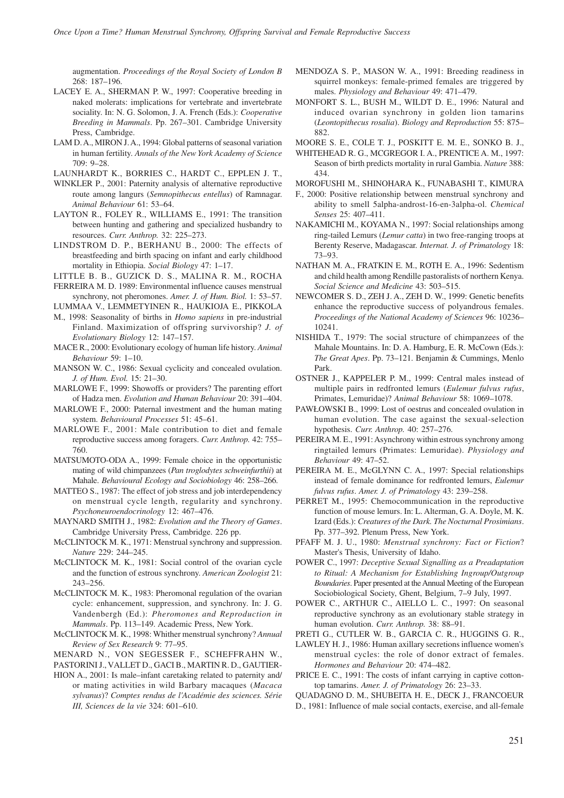augmentation. *Proceedings of the Royal Society of London B* 268: 187–196.

- LACEY E. A., SHERMAN P. W., 1997: Cooperative breeding in naked molerats: implications for vertebrate and invertebrate sociality. In: N. G. Solomon, J. A. French (Eds.): *Cooperative Breeding in Mammals*. Pp. 267–301. Cambridge University Press, Cambridge.
- LAM D. A., MIRON J. A., 1994: Global patterns of seasonal variation in human fertility. *Annals of the New York Academy of Science*  $709.9 - 28.$
- LAUNHARDT K., BORRIES C., HARDT C., EPPLEN J. T.,
- WINKLER P., 2001: Paternity analysis of alternative reproductive route among langurs (*Semnopithecus entellus*) of Ramnagar. *Animal Behaviour* 61: 53–64.
- LAYTON R., FOLEY R., WILLIAMS E., 1991: The transition between hunting and gathering and specialized husbandry to resources. *Curr. Anthrop.* 32: 225–273.
- LINDSTROM D. P., BERHANU B., 2000: The effects of breastfeeding and birth spacing on infant and early childhood mortality in Ethiopia. *Social Biology* 47: 1–17.
- LITTLE B. B., GUZICK D. S., MALINA R. M., ROCHA FERREIRA M. D. 1989: Environmental influence causes menstrual
- synchrony, not pheromones. *Amer. J. of Hum. Biol.* 1: 53–57.
- LUMMAA V., LEMMETYINEN R., HAUKIOJA E., PIKKOLA
- M., 1998: Seasonality of births in *Homo sapiens* in pre-industrial Finland. Maximization of offspring survivorship? *J. of Evolutionary Biology* 12: 147–157.
- MACE R., 2000: Evolutionary ecology of human life history. *Animal Behaviour* 59: 1–10.
- MANSON W. C., 1986: Sexual cyclicity and concealed ovulation. *J. of Hum. Evol.* 15: 21–30.
- MARLOWE F., 1999: Showoffs or providers? The parenting effort of Hadza men. *Evolution and Human Behaviour* 20: 391–404.
- MARLOWE F., 2000: Paternal investment and the human mating system. *Behavioural Processes* 51: 45–61.
- MARLOWE F., 2001: Male contribution to diet and female reproductive success among foragers. *Curr. Anthrop.* 42: 755– 760.
- MATSUMOTO-ODA A., 1999: Female choice in the opportunistic mating of wild chimpanzees (*Pan troglodytes schweinfurthii*) at Mahale. *Behavioural Ecology and Sociobiology* 46: 258–266.
- MATTEO S., 1987: The effect of job stress and job interdependency on menstrual cycle length, regularity and synchrony. *Psychoneuroendocrinology* 12: 467–476.
- MAYNARD SMITH J., 1982: *Evolution and the Theory of Games*. Cambridge University Press, Cambridge. 226 pp.
- McCLINTOCK M. K., 1971: Menstrual synchrony and suppression. *Nature* 229: 244–245.
- McCLINTOCK M. K., 1981: Social control of the ovarian cycle and the function of estrous synchrony. *American Zoologist* 21: 243–256.
- McCLINTOCK M. K., 1983: Pheromonal regulation of the ovarian cycle: enhancement, suppression, and synchrony. In: J. G. Vandenbergh (Ed.): *Pheromones and Reproduction in Mammals*. Pp. 113–149. Academic Press, New York.
- McCLINTOCK M. K., 1998: Whither menstrual synchrony? *Annual Review of Sex Research* 9: 77–95.

MENARD N., VON SEGESSER F., SCHEFFRAHN W.,

PASTORINI J., VALLET D., GACI B., MARTIN R. D., GAUTIER-

HION A., 2001: Is male–infant caretaking related to paternity and/ or mating activities in wild Barbary macaques (*Macaca sylvanus*)? *Comptes rendus de l'Académie des sciences. Série III, Sciences de la vie* 324: 601–610.

- MENDOZA S. P., MASON W. A., 1991: Breeding readiness in squirrel monkeys: female-primed females are triggered by males. *Physiology and Behaviour* 49: 471–479.
- MONFORT S. L., BUSH M., WILDT D. E., 1996: Natural and induced ovarian synchrony in golden lion tamarins (*Leontopithecus rosalia*). *Biology and Reproduction* 55: 875– 882.
- MOORE S. E., COLE T. J., POSKITT E. M. E., SONKO B. J.,
- WHITEHEAD R. G., MCGREGOR I. A., PRENTICE A. M., 1997: Season of birth predicts mortality in rural Gambia. *Nature* 388: 434.
- MOROFUSHI M., SHINOHARA K., FUNABASHI T., KIMURA
- F., 2000: Positive relationship between menstrual synchrony and ability to smell 5alpha-androst-16-en-3alpha-ol. *Chemical Senses* 25: 407–411.
- NAKAMICHI M., KOYAMA N., 1997: Social relationships among ring-tailed Lemurs (*Lemur catta*) in two free-ranging troops at Berenty Reserve, Madagascar. *Internat. J. of Primatology* 18: 73–93.
- NATHAN M. A., FRATKIN E. M., ROTH E. A., 1996: Sedentism and child health among Rendille pastoralists of northern Kenya. *Social Science and Medicine* 43: 503–515.
- NEWCOMER S. D., ZEH J. A., ZEH D. W., 1999: Genetic benefits enhance the reproductive success of polyandrous females. *Proceedings of the National Academy of Sciences* 96: 10236– 10241.
- NISHIDA T., 1979: The social structure of chimpanzees of the Mahale Mountains. In: D. A. Hamburg, E. R. McCown (Eds.): *The Great Apes*. Pp. 73–121. Benjamin & Cummings, Menlo Park.
- OSTNER J., KAPPELER P. M., 1999: Central males instead of multiple pairs in redfronted lemurs (*Eulemur fulvus rufus*, Primates, Lemuridae)? *Animal Behaviour* 58: 1069–1078.
- PAWŁOWSKI B., 1999: Lost of oestrus and concealed ovulation in human evolution. The case against the sexual-selection hypothesis. *Curr. Anthrop.* 40: 257–276.
- PEREIRA M. E., 1991: Asynchrony within estrous synchrony among ringtailed lemurs (Primates: Lemuridae). *Physiology and Behaviour* 49: 47–52.
- PEREIRA M. E., McGLYNN C. A., 1997: Special relationships instead of female dominance for redfronted lemurs, *Eulemur fulvus rufus*. *Amer. J. of Primatology* 43: 239–258.
- PERRET M., 1995: Chemocommunication in the reproductive function of mouse lemurs. In: L. Alterman, G. A. Doyle, M. K. Izard (Eds.): *Creatures of the Dark. The Nocturnal Prosimians*. Pp. 377–392. Plenum Press, New York.
- PFAFF M. J. U., 1980: *Menstrual synchrony: Fact or Fiction*? Master's Thesis, University of Idaho.
- POWER C., 1997: *Deceptive Sexual Signalling as a Preadaptation to Ritual: A Mechanism for Establishing Ingroup/Outgroup Boundaries*. Paper presented at the Annual Meeting of the European Sociobiological Society, Ghent, Belgium, 7–9 July, 1997.
- POWER C., ARTHUR C., AIELLO L. C., 1997: On seasonal reproductive synchrony as an evolutionary stable strategy in human evolution. *Curr. Anthrop.* 38: 88–91.

- LAWLEY H. J., 1986: Human axillary secretions influence women's menstrual cycles: the role of donor extract of females. *Hormones and Behaviour* 20: 474–482.
- PRICE E. C., 1991: The costs of infant carrying in captive cottontop tamarins. *Amer. J. of Primatology* 26: 23–33.
- QUADAGNO D. M., SHUBEITA H. E., DECK J., FRANCOEUR

D., 1981: Influence of male social contacts, exercise, and all-female

PRETI G., CUTLER W. B., GARCIA C. R., HUGGINS G. R.,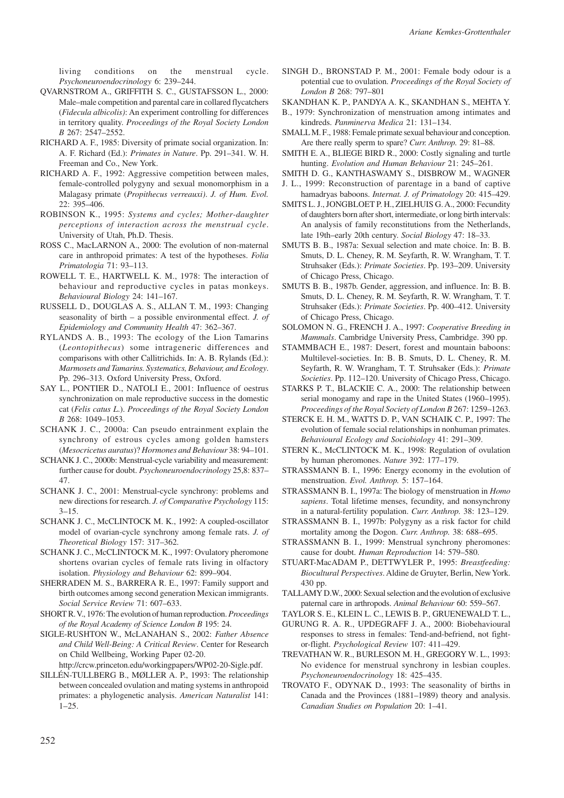living conditions on the menstrual cycle. *Psychoneuroendocrinology* 6: 239–244.

- QVARNSTROM A., GRIFFITH S. C., GUSTAFSSON L., 2000: Male–male competition and parental care in collared flycatchers (*Fidecula albicolis)*: An experiment controlling for differences in territory quality. *Proceedings of the Royal Society London B* 267: 2547–2552.
- RICHARD A. F., 1985: Diversity of primate social organization. In: A. F. Richard (Ed.): *Primates in Nature*. Pp. 291–341. W. H. Freeman and Co., New York.
- RICHARD A. F., 1992: Aggressive competition between males, female-controlled polygyny and sexual monomorphism in a Malagasy primate (*Propithecus verreauxi)*. *J. of Hum. Evol.*  $22: 395 - 406.$
- ROBINSON K., 1995: *Systems and cycles; Mother-daughter perceptions of interaction across the menstrual cycle*. University of Utah, Ph.D. Thesis.
- ROSS C., MacLARNON A., 2000: The evolution of non-maternal care in anthropoid primates: A test of the hypotheses. *Folia Primatologia* 71: 93–113.
- ROWELL T. E., HARTWELL K. M., 1978: The interaction of behaviour and reproductive cycles in patas monkeys. *Behavioural Biology* 24: 141–167.
- RUSSELL D., DOUGLAS A. S., ALLAN T. M., 1993: Changing seasonality of birth – a possible environmental effect. *J. of Epidemiology and Community Health* 47: 362–367.
- RYLANDS A. B., 1993: The ecology of the Lion Tamarins (*Leontopithecus*) some intrageneric differences and comparisons with other Callitrichids. In: A. B. Rylands (Ed.): *Marmosets and Tamarins. Systematics, Behaviour, and Ecology*. Pp. 296–313. Oxford University Press, Oxford.
- SAY L., PONTIER D., NATOLI E., 2001: Influence of oestrus synchronization on male reproductive success in the domestic cat (*Felis catus L*.). *Proceedings of the Royal Society London B* 268: 1049–1053.
- SCHANK J. C., 2000a: Can pseudo entrainment explain the synchrony of estrous cycles among golden hamsters (*Mesocricetus auratus*)? *Hormones and Behaviour* 38: 94–101.
- SCHANK J. C., 2000b: Menstrual-cycle variability and measurement: further cause for doubt. *Psychoneuroendocrinology* 25,8: 837– 47.
- SCHANK J. C., 2001: Menstrual-cycle synchrony: problems and new directions for research. *J. of Comparative Psychology* 115:  $3 - 15$ .
- SCHANK J. C., McCLINTOCK M. K., 1992: A coupled-oscillator model of ovarian-cycle synchrony among female rats. *J. of Theoretical Biology* 157: 317–362.
- SCHANK J. C., McCLINTOCK M. K., 1997: Ovulatory pheromone shortens ovarian cycles of female rats living in olfactory isolation. *Physiology and Behaviour* 62: 899–904.
- SHERRADEN M. S., BARRERA R. E., 1997: Family support and birth outcomes among second generation Mexican immigrants. *Social Service Review* 71: 607–633.
- SHORT R. V., 1976: The evolution of human reproduction. *Proceedings of the Royal Academy of Science London B* 195: 24.
- SIGLE-RUSHTON W., McLANAHAN S., 2002: *Father Absence and Child Well-Being: A Critical Review*. Center for Research on Child Wellbeing, Working Paper 02-20.

http://crcw.princeton.edu/workingpapers/WP02-20-Sigle.pdf.

SILLÉN-TULLBERG B., MØLLER A. P., 1993: The relationship between concealed ovulation and mating systems in anthropoid primates: a phylogenetic analysis. *American Naturalist* 141: 1–25.

SINGH D., BRONSTAD P. M., 2001: Female body odour is a potential cue to ovulation. *Proceedings of the Royal Society of London B* 268: 797–801

SKANDHAN K. P., PANDYA A. K., SKANDHAN S., MEHTA Y.

- B., 1979: Synchronization of menstruation among intimates and kindreds. *Panminerva Medica* 21: 131–134.
- SMALL M. F., 1988: Female primate sexual behaviour and conception. Are there really sperm to spare? *Curr. Anthrop.* 29: 81–88.
- SMITH E. A., BLIEGE BIRD R., 2000: Costly signaling and turtle hunting. *Evolution and Human Behaviour* 21: 245–261.
- SMITH D. G., KANTHASWAMY S., DISBROW M., WAGNER
- J. L., 1999: Reconstruction of parentage in a band of captive hamadryas baboons. *Internat. J. of Primatology* 20: 415–429.
- SMITS L. J., JONGBLOET P. H., ZIELHUIS G. A., 2000: Fecundity of daughters born after short, intermediate, or long birth intervals: An analysis of family reconstitutions from the Netherlands, late 19th–early 20th century. *Social Biology* 47: 18–33.
- SMUTS B. B., 1987a: Sexual selection and mate choice. In: B. B. Smuts, D. L. Cheney, R. M. Seyfarth, R. W. Wrangham, T. T. Struhsaker (Eds.): *Primate Societies*. Pp. 193–209. University of Chicago Press, Chicago.
- SMUTS B. B., 1987b. Gender, aggression, and influence. In: B. B. Smuts, D. L. Cheney, R. M. Seyfarth, R. W. Wrangham, T. T. Struhsaker (Eds.): *Primate Societies*. Pp. 400–412. University of Chicago Press, Chicago.
- SOLOMON N. G., FRENCH J. A., 1997: *Cooperative Breeding in Mammals*. Cambridge University Press, Cambridge. 390 pp.
- STAMMBACH E., 1987: Desert, forest and mountain baboons: Multilevel-societies. In: B. B. Smuts, D. L. Cheney, R. M. Seyfarth, R. W. Wrangham, T. T. Struhsaker (Eds.): *Primate Societies*. Pp. 112–120. University of Chicago Press, Chicago.
- STARKS P. T., BLACKIE C. A., 2000: The relationship between serial monogamy and rape in the United States (1960–1995). *Proceedings of the Royal Society of London B* 267: 1259–1263.
- STERCK E. H. M., WATTS D. P., VAN SCHAIK C. P., 1997: The evolution of female social relationships in nonhuman primates. *Behavioural Ecology and Sociobiology* 41: 291–309.
- STERN K., McCLINTOCK M. K., 1998: Regulation of ovulation by human pheromones. *Nature* 392: 177–179.
- STRASSMANN B. I., 1996: Energy economy in the evolution of menstruation. *Evol. Anthrop.* 5: 157–164.
- STRASSMANN B. I., 1997a: The biology of menstruation in *Homo sapiens*. Total lifetime menses, fecundity, and nonsynchrony in a natural-fertility population. *Curr. Anthrop.* 38: 123–129.
- STRASSMANN B. I., 1997b: Polygyny as a risk factor for child mortality among the Dogon. *Curr. Anthrop.* 38: 688–695.
- STRASSMANN B. I., 1999: Menstrual synchrony pheromones: cause for doubt. *Human Reproduction* 14: 579–580.
- STUART-MacADAM P., DETTWYLER P., 1995: *Breastfeeding: Biocultural Perspectives*. Aldine de Gruyter, Berlin, New York. 430 pp.
- TALLAMY D.W., 2000: Sexual selection and the evolution of exclusive paternal care in arthropods. *Animal Behaviour* 60: 559–567.
- TAYLOR S. E., KLEIN L. C., LEWIS B. P., GRUENEWALD T. L.,
- GURUNG R. A. R., UPDEGRAFF J. A., 2000: Biobehavioural responses to stress in females: Tend-and-befriend, not fightor-flight. *Psychological Review* 107: 411–429.
- TREVATHAN W. R., BURLESON M. H., GREGORY W. L., 1993: No evidence for menstrual synchrony in lesbian couples. *Psychoneuroendocrinology* 18: 425–435.
- TROVATO F., ODYNAK D., 1993: The seasonality of births in Canada and the Provinces (1881–1989) theory and analysis. *Canadian Studies on Population* 20: 1–41.